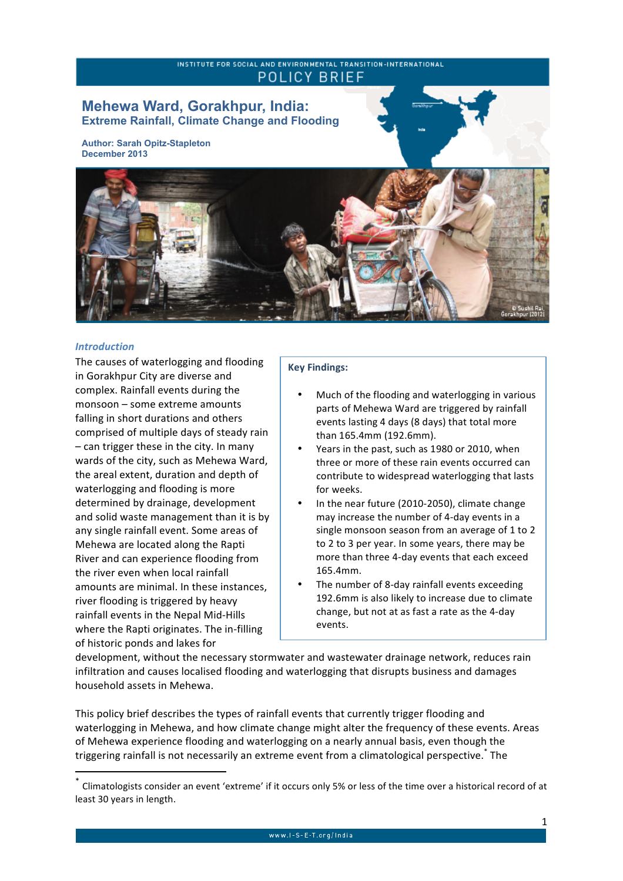## INSTITUTE FOR SOCIAL AND ENVIRONMENTAL TRANSITION-INTERNATIONAL **POLICY BRIEF**

# **Mehewa Ward, Gorakhpur, India: Extreme Rainfall, Climate Change and Flooding**

**Author: Sarah Opitz-Stapleton December 2013** 



#### *Introduction*

The causes of waterlogging and flooding in Gorakhpur City are diverse and complex. Rainfall events during the  $m$ onsoon – some extreme amounts falling in short durations and others comprised of multiple days of steady rain  $-$  can trigger these in the city. In many wards of the city, such as Mehewa Ward, the areal extent, duration and depth of waterlogging and flooding is more determined by drainage, development and solid waste management than it is by any single rainfall event. Some areas of Mehewa are located along the Rapti River and can experience flooding from the river even when local rainfall amounts are minimal. In these instances, river flooding is triggered by heavy rainfall events in the Nepal Mid-Hills where the Rapti originates. The in-filling of historic ponds and lakes for

<u> 1989 - Johann Stein, fransk politik (d. 1989)</u>

## **Key Findings:**

- Much of the flooding and waterlogging in various parts of Mehewa Ward are triggered by rainfall events lasting 4 days (8 days) that total more than 165.4mm (192.6mm).
- Years in the past, such as 1980 or 2010, when three or more of these rain events occurred can contribute to widespread waterlogging that lasts for weeks.
- In the near future (2010-2050), climate change may increase the number of 4-day events in a single monsoon season from an average of 1 to 2 to 2 to 3 per year. In some years, there may be more than three 4-day events that each exceed 165.4mm.
- The number of 8-day rainfall events exceeding 192.6mm is also likely to increase due to climate change, but not at as fast a rate as the 4-day events.

development, without the necessary stormwater and wastewater drainage network, reduces rain infiltration and causes localised flooding and waterlogging that disrupts business and damages household assets in Mehewa.

This policy brief describes the types of rainfall events that currently trigger flooding and waterlogging in Mehewa, and how climate change might alter the frequency of these events. Areas of Mehewa experience flooding and waterlogging on a nearly annual basis, even though the triggering rainfall is not necessarily an extreme event from a climatological perspective.<sup>\*</sup> The

Climatologists consider an event 'extreme' if it occurs only 5% or less of the time over a historical record of at least 30 years in length.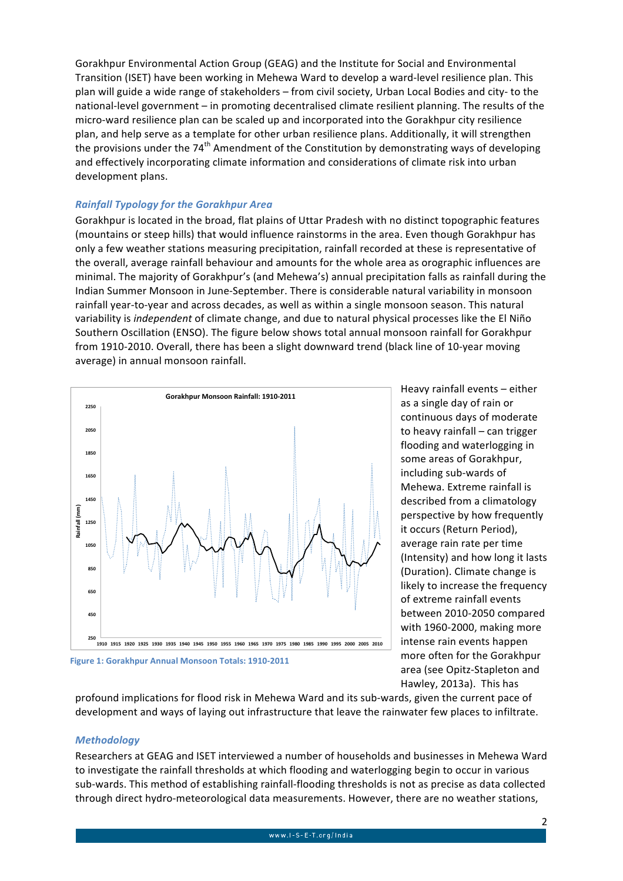Gorakhpur Environmental Action Group (GEAG) and the Institute for Social and Environmental Transition (ISET) have been working in Mehewa Ward to develop a ward-level resilience plan. This plan will guide a wide range of stakeholders – from civil society, Urban Local Bodies and city- to the national-level government – in promoting decentralised climate resilient planning. The results of the micro-ward resilience plan can be scaled up and incorporated into the Gorakhpur city resilience plan, and help serve as a template for other urban resilience plans. Additionally, it will strengthen the provisions under the  $74<sup>th</sup>$  Amendment of the Constitution by demonstrating ways of developing and effectively incorporating climate information and considerations of climate risk into urban development plans.

## *Rainfall Typology for the Gorakhpur Area*

Gorakhpur is located in the broad, flat plains of Uttar Pradesh with no distinct topographic features (mountains or steep hills) that would influence rainstorms in the area. Even though Gorakhpur has only a few weather stations measuring precipitation, rainfall recorded at these is representative of the overall, average rainfall behaviour and amounts for the whole area as orographic influences are minimal. The majority of Gorakhpur's (and Mehewa's) annual precipitation falls as rainfall during the Indian Summer Monsoon in June-September. There is considerable natural variability in monsoon rainfall year-to-year and across decades, as well as within a single monsoon season. This natural variability is *independent* of climate change, and due to natural physical processes like the El Niño Southern Oscillation (ENSO). The figure below shows total annual monsoon rainfall for Gorakhpur from 1910-2010. Overall, there has been a slight downward trend (black line of 10-year moving average) in annual monsoon rainfall.



**Figure 1: Gorakhpur Annual Monsoon Totals: 1910-2011** 

Heavy rainfall events - either as a single day of rain or continuous days of moderate to heavy rainfall – can trigger flooding and waterlogging in some areas of Gorakhpur, including sub-wards of Mehewa. Extreme rainfall is described from a climatology perspective by how frequently it occurs (Return Period), average rain rate per time (Intensity) and how long it lasts (Duration). Climate change is likely to increase the frequency of extreme rainfall events between 2010-2050 compared with 1960-2000, making more intense rain events happen more often for the Gorakhpur area (see Opitz-Stapleton and Hawley, 2013a). This has

profound implications for flood risk in Mehewa Ward and its sub-wards, given the current pace of development and ways of laying out infrastructure that leave the rainwater few places to infiltrate.

#### *Methodology*

Researchers at GEAG and ISET interviewed a number of households and businesses in Mehewa Ward to investigate the rainfall thresholds at which flooding and waterlogging begin to occur in various sub-wards. This method of establishing rainfall-flooding thresholds is not as precise as data collected through direct hydro-meteorological data measurements. However, there are no weather stations,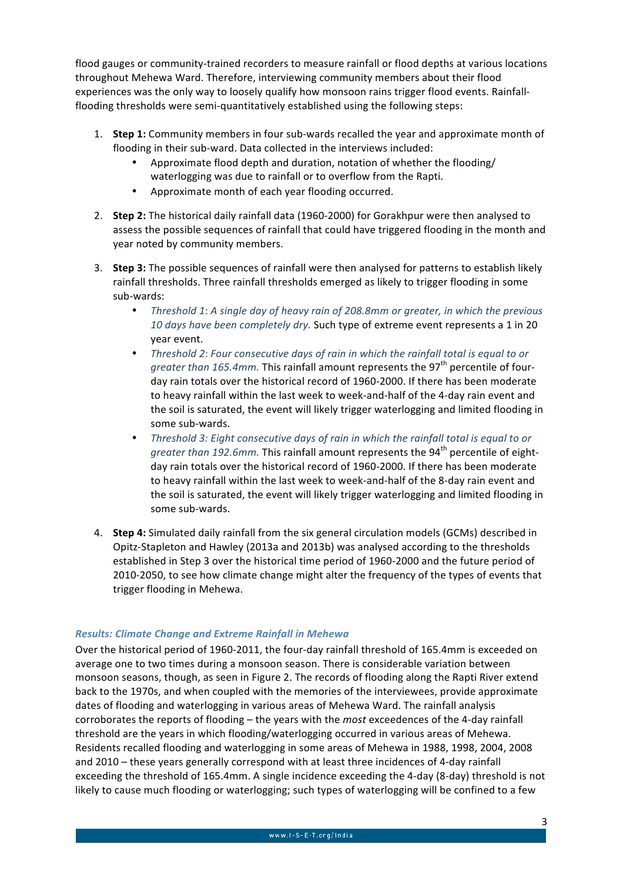flood gauges or community-trained recorders to measure rainfall or flood depths at various locations throughout Mehewa Ward. Therefore, interviewing community members about their flood experiences was the only way to loosely qualify how monsoon rains trigger flood events. Rainfallflooding thresholds were semi-quantitatively established using the following steps:

- 1. **Step 1:** Community members in four sub-wards recalled the year and approximate month of flooding in their sub-ward. Data collected in the interviews included:
	- Approximate flood depth and duration, notation of whether the flooding/ waterlogging was due to rainfall or to overflow from the Rapti.
	- Approximate month of each year flooding occurred.
- 2. **Step 2:** The historical daily rainfall data (1960-2000) for Gorakhpur were then analysed to assess the possible sequences of rainfall that could have triggered flooding in the month and year noted by community members.
- 3. **Step 3:** The possible sequences of rainfall were then analysed for patterns to establish likely rainfall thresholds. Three rainfall thresholds emerged as likely to trigger flooding in some sub-wards:
	- Threshold 1: A single day of heavy rain of 208.8mm or greater, in which the previous 10 days have been completely dry. Such type of extreme event represents a 1 in 20 year event.
	- *Threshold 2: Four consecutive days of rain in which the rainfall total is equal to or greater than 165.4mm.* This rainfall amount represents the 97<sup>th</sup> percentile of fourday rain totals over the historical record of 1960-2000. If there has been moderate to heavy rainfall within the last week to week-and-half of the 4-day rain event and the soil is saturated, the event will likely trigger waterlogging and limited flooding in some sub-wards.
	- *Threshold 3: Eight consecutive days of rain in which the rainfall total is equal to or greater than 192.6mm.* This rainfall amount represents the  $94<sup>th</sup>$  percentile of eightday rain totals over the historical record of 1960-2000. If there has been moderate to heavy rainfall within the last week to week-and-half of the 8-day rain event and the soil is saturated, the event will likely trigger waterlogging and limited flooding in some sub-wards.
- 4. **Step 4:** Simulated daily rainfall from the six general circulation models (GCMs) described in Opitz-Stapleton and Hawley (2013a and 2013b) was analysed according to the thresholds established in Step 3 over the historical time period of 1960-2000 and the future period of 2010-2050, to see how climate change might alter the frequency of the types of events that trigger flooding in Mehewa.

## *Results: Climate Change and Extreme Rainfall in Mehewa*

Over the historical period of 1960-2011, the four-day rainfall threshold of 165.4mm is exceeded on average one to two times during a monsoon season. There is considerable variation between monsoon seasons, though, as seen in Figure 2. The records of flooding along the Rapti River extend back to the 1970s, and when coupled with the memories of the interviewees, provide approximate dates of flooding and waterlogging in various areas of Mehewa Ward. The rainfall analysis corroborates the reports of flooding – the years with the *most* exceedences of the 4-day rainfall threshold are the years in which flooding/waterlogging occurred in various areas of Mehewa. Residents recalled flooding and waterlogging in some areas of Mehewa in 1988, 1998, 2004, 2008 and 2010 – these years generally correspond with at least three incidences of 4-day rainfall exceeding the threshold of 165.4mm. A single incidence exceeding the 4-day (8-day) threshold is not likely to cause much flooding or waterlogging; such types of waterlogging will be confined to a few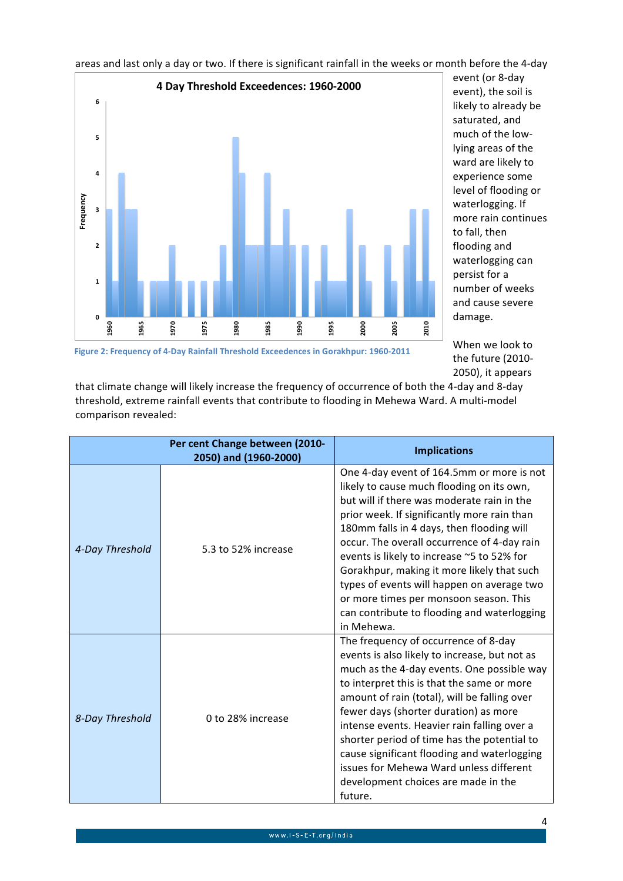areas and last only a day or two. If there is significant rainfall in the weeks or month before the 4-day



event (or 8-day event), the soil is likely to already be saturated, and much of the lowlying areas of the ward are likely to experience some level of flooding or waterlogging. If more rain continues to fall, then flooding and waterlogging can persist for a number of weeks and cause severe damage.

When we look to the future (2010-2050), it appears

Figure 2: Frequency of 4-Day Rainfall Threshold Exceedences in Gorakhpur: 1960-2011

that climate change will likely increase the frequency of occurrence of both the 4-day and 8-day threshold, extreme rainfall events that contribute to flooding in Mehewa Ward. A multi-model comparison revealed:

|                 | Per cent Change between (2010-<br>2050) and (1960-2000) | <b>Implications</b>                                                                                                                                                                                                                                                                                                                                                                                                                                                                                                              |
|-----------------|---------------------------------------------------------|----------------------------------------------------------------------------------------------------------------------------------------------------------------------------------------------------------------------------------------------------------------------------------------------------------------------------------------------------------------------------------------------------------------------------------------------------------------------------------------------------------------------------------|
| 4-Day Threshold | 5.3 to 52% increase                                     | One 4-day event of 164.5mm or more is not<br>likely to cause much flooding on its own,<br>but will if there was moderate rain in the<br>prior week. If significantly more rain than<br>180mm falls in 4 days, then flooding will<br>occur. The overall occurrence of 4-day rain<br>events is likely to increase ~5 to 52% for<br>Gorakhpur, making it more likely that such<br>types of events will happen on average two<br>or more times per monsoon season. This<br>can contribute to flooding and waterlogging<br>in Mehewa. |
| 8-Day Threshold | 0 to 28% increase                                       | The frequency of occurrence of 8-day<br>events is also likely to increase, but not as<br>much as the 4-day events. One possible way<br>to interpret this is that the same or more<br>amount of rain (total), will be falling over<br>fewer days (shorter duration) as more<br>intense events. Heavier rain falling over a<br>shorter period of time has the potential to<br>cause significant flooding and waterlogging<br>issues for Mehewa Ward unless different<br>development choices are made in the<br>future.             |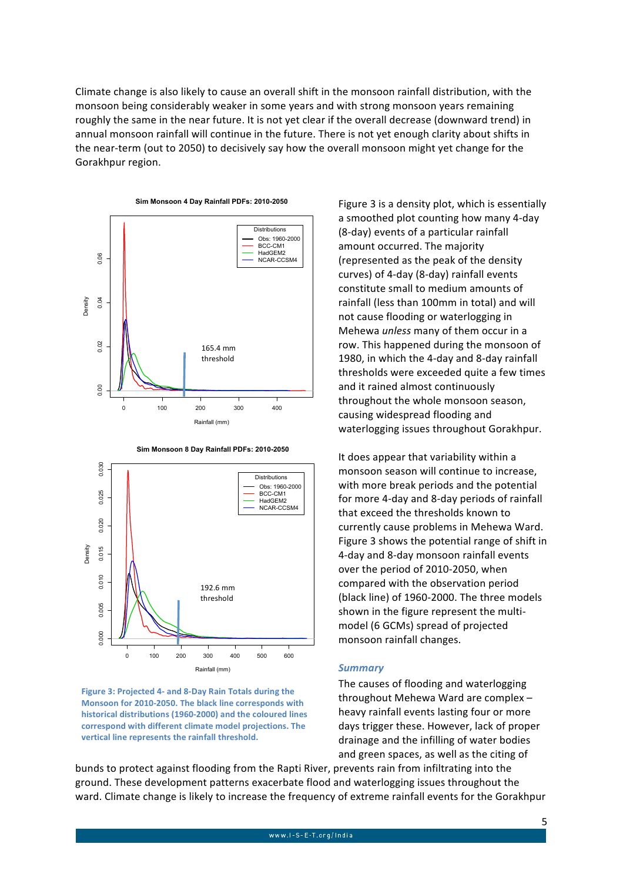Climate change is also likely to cause an overall shift in the monsoon rainfall distribution, with the monsoon being considerably weaker in some years and with strong monsoon years remaining roughly the same in the near future. It is not yet clear if the overall decrease (downward trend) in annual monsoon rainfall will continue in the future. There is not vet enough clarity about shifts in the near-term (out to 2050) to decisively say how the overall monsoon might yet change for the Gorakhpur region.







Figure 3 is a density plot, which is essentially a smoothed plot counting how many 4-day (8-day) events of a particular rainfall amount occurred. The majority (represented as the peak of the density curves) of 4-day (8-day) rainfall events constitute small to medium amounts of rainfall (less than 100mm in total) and will not cause flooding or waterlogging in Mehewa *unless* many of them occur in a row. This happened during the monsoon of 1980, in which the 4-day and 8-day rainfall thresholds were exceeded quite a few times and it rained almost continuously throughout the whole monsoon season, causing widespread flooding and waterlogging issues throughout Gorakhpur.

It does appear that variability within a monsoon season will continue to increase, with more break periods and the potential for more 4-day and 8-day periods of rainfall that exceed the thresholds known to currently cause problems in Mehewa Ward. Figure 3 shows the potential range of shift in 4-day and 8-day monsoon rainfall events over the period of 2010-2050, when compared with the observation period (black line) of 1960-2000. The three models shown in the figure represent the multimodel (6 GCMs) spread of projected monsoon rainfall changes.

#### *Summary*

The causes of flooding and waterlogging throughout Mehewa Ward are complex  $$ heavy rainfall events lasting four or more days trigger these. However, lack of proper drainage and the infilling of water bodies and green spaces, as well as the citing of

bunds to protect against flooding from the Rapti River, prevents rain from infiltrating into the ground. These development patterns exacerbate flood and waterlogging issues throughout the ward. Climate change is likely to increase the frequency of extreme rainfall events for the Gorakhpur